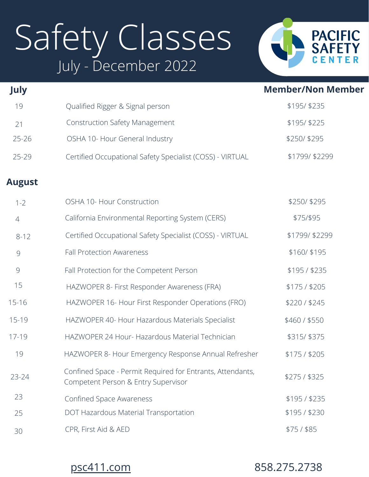# Safety Classes July - December 2022



| July           |                                                                                                   | <b>Member/Non Member</b> |
|----------------|---------------------------------------------------------------------------------------------------|--------------------------|
| 19             | Qualified Rigger & Signal person                                                                  | \$195/\$235              |
| 21             | <b>Construction Safety Management</b>                                                             | \$195/\$225              |
| $25 - 26$      | OSHA 10- Hour General Industry                                                                    | \$250/\$295              |
| $25 - 29$      | Certified Occupational Safety Specialist (COSS) - VIRTUAL                                         | \$1799/\$2299            |
| <b>August</b>  |                                                                                                   |                          |
| $1 - 2$        | OSHA 10- Hour Construction                                                                        | \$250/\$295              |
| $\overline{4}$ | California Environmental Reporting System (CERS)                                                  | \$75/\$95                |
| $8 - 12$       | Certified Occupational Safety Specialist (COSS) - VIRTUAL                                         | \$1799/\$2299            |
| $\mathcal{G}$  | <b>Fall Protection Awareness</b>                                                                  | \$160/\$195              |
| 9              | Fall Protection for the Competent Person                                                          | \$195/\$235              |
| 15             | HAZWOPER 8- First Responder Awareness (FRA)                                                       | \$175/\$205              |
| $15 - 16$      | HAZWOPER 16- Hour First Responder Operations (FRO)                                                | \$220/\$245              |
| $15 - 19$      | HAZWOPER 40- Hour Hazardous Materials Specialist                                                  | \$460 / \$550            |
| $17 - 19$      | HAZWOPER 24 Hour-Hazardous Material Technician                                                    | \$315/\$375              |
| 19             | HAZWOPER 8- Hour Emergency Response Annual Refresher                                              | \$175/\$205              |
| 23-24          | Confined Space - Permit Required for Entrants, Attendants,<br>Competent Person & Entry Supervisor | \$275/ \$325             |
| 23             | <b>Confined Space Awareness</b>                                                                   | \$195/ \$235             |
| 25             | DOT Hazardous Material Transportation                                                             | \$195/\$230              |
| 30             | CPR, First Aid & AED                                                                              | $$75/$ \$85              |

[psc411.com](http://psc411.com/) 858.275.2738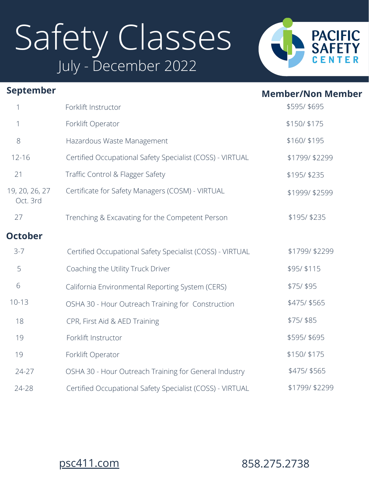# Safety Classes July - December 2022



| <b>September</b>           |                                                           | <b>Member/Non Member</b> |
|----------------------------|-----------------------------------------------------------|--------------------------|
| 1                          | Forklift Instructor                                       | \$595/ \$695             |
| 1                          | Forklift Operator                                         | \$150/\$175              |
| 8                          | Hazardous Waste Management                                | \$160/\$195              |
| $12 - 16$                  | Certified Occupational Safety Specialist (COSS) - VIRTUAL | \$1799/\$2299            |
| 21                         | Traffic Control & Flagger Safety                          | \$195/\$235              |
| 19, 20, 26, 27<br>Oct. 3rd | Certificate for Safety Managers (COSM) - VIRTUAL          | \$1999/\$2599            |
| 27                         | Trenching & Excavating for the Competent Person           | \$195/\$235              |
| <b>October</b>             |                                                           |                          |
| $3 - 7$                    | Certified Occupational Safety Specialist (COSS) - VIRTUAL | \$1799/\$2299            |
| 5                          | Coaching the Utility Truck Driver                         | \$95/\$115               |
| 6                          | California Environmental Reporting System (CERS)          | \$75/ \$95               |
| $10 - 13$                  | OSHA 30 - Hour Outreach Training for Construction         | \$475/ \$565             |
| 18                         | CPR, First Aid & AED Training                             | \$75/ \$85               |
| 19                         | Forklift Instructor                                       | \$595/ \$695             |
| 19                         | Forklift Operator                                         | \$150/\$175              |
| 24-27                      | OSHA 30 - Hour Outreach Training for General Industry     | \$475/ \$565             |
| 24-28                      | Certified Occupational Safety Specialist (COSS) - VIRTUAL | \$1799/\$2299            |
|                            |                                                           |                          |

### [psc411.com](http://psc411.com/) 858.275.2738